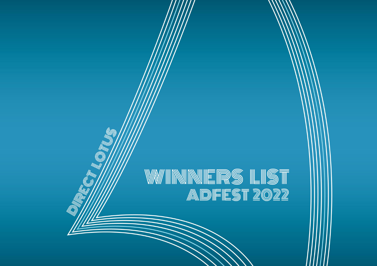# WINNNERS LIST<br>Adfest 2022

NOTE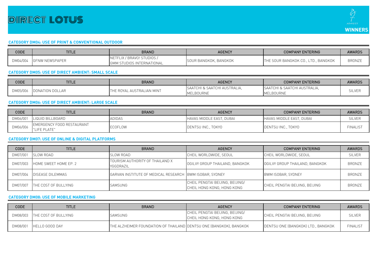

### **CATEGORY DM04: USE OF PRINT & CONVENTIONAL OUTDOOR**

| CODE     | <b>TITLE</b>          | <b>BRAND</b>                                            | <b>AGENCY</b>                | <b>COMPANY ENTERING</b>             | <b>AWARDS</b> |
|----------|-----------------------|---------------------------------------------------------|------------------------------|-------------------------------------|---------------|
| DM04/004 | <b>GENW NEWSPAPER</b> | NETFLIX / BRAVO! STUDIOS /<br>GMM STUDIOS INTERNATIONAL | <b>SOUR BANGKOK, BANGKOK</b> | THE SOUR BANGKOK CO., LTD., BANGKOK | <b>BRONZE</b> |

# **CATEGORY DM05: USE OF DIRECT AMBIENT: SMALL SCALE**

| CODE     | <b>TITLE</b>    | BRAND                     | <b>AGENCY</b>                                                | <b>COMPANY ENTERING</b> | <b>AWARDS</b> |
|----------|-----------------|---------------------------|--------------------------------------------------------------|-------------------------|---------------|
| DM05/006 |                 |                           | SAATCHI & SAATCHI AUSTRALIA.<br>SAATCHI & SAATCHI AUSTRALIA. |                         |               |
|          | DONATION DOLLAR | THE ROYAL AUSTRALIAN MINT | MELBOURNE                                                    | MELBOURNE               | SILVER        |

# **CATEGORY DM06: USE OF DIRECT AMBIENT: LARGE SCALE**

| CODE     | <b>TITLE</b>                             | <b>BRAND</b>   | <b>AGENCY</b>            | <b>COMPANY ENTERING</b>  | <b>AWARDS</b>  |
|----------|------------------------------------------|----------------|--------------------------|--------------------------|----------------|
| DM06/001 | LIQUID BILLBOARD                         | ADIDAS         | HAVAS MIDDLE EAST, DUBAI | HAVAS MIDDLE EAST, DUBAI | SILVER         |
| DM06/006 | EMERGENCY FOOD RESTAURANT<br>LIFE PLATE" | <b>ECOFLOW</b> | DENTSU INC., TOKYO       | DENTSU INC., TOKYO       | <b>FINALIS</b> |

# **CATEGORY DM07: USE OF ONLINE & DIGITAL PLATFORMS**

| <b>CODE</b> | <b>TITLE</b>            | <b>BRAND</b>                                 | <b>AGENCY</b>                                                 | <b>COMPANY ENTERING</b>        | <b>AWARDS</b> |
|-------------|-------------------------|----------------------------------------------|---------------------------------------------------------------|--------------------------------|---------------|
| DM07/001    | SLOW ROAD               | <b>SLOW ROAD</b>                             | CHEIL WORLDWIDE, SEOUL                                        | CHEIL WORLDWIDE, SEOUL         | <b>SILVER</b> |
| DM07/003    | HOME SWEET HOME EP. 2   | TOURISM AUTHORITY OF THAILAND X<br>YGGDRAZIL | OGILVY GROUP THAILAND, BANGKOK                                | OGILVY GROUP THAILAND, BANGKOK | <b>BRONZE</b> |
| DM07/004    | <b>DISEASE DILEMMAS</b> | GARVAN INSTITUTE OF MEDICAL RESEARCH         | I IBWM ISOBAR, SYDNEY                                         | BWM ISOBAR, SYDNEY             | <b>BRONZE</b> |
| DM07/007    | THE COST OF BULLYING    | SAMSUNG                                      | CHEIL PENGTAI BEIJING, BEIJING/<br>CHEIL HONG KONG, HONG KONG | CHEIL PENGTAI BEIJING, BEIJING | <b>BRONZE</b> |

### **CATEGORY DM08: USE OF MOBILE MARKETING**

| <b>CODE</b> | <b>TITLE</b>                  | <b>BRAND</b>                                                       | <b>AGENCY</b>                                                 | <b>COMPANY ENTERING</b>            | <b>AWARDS</b>   |
|-------------|-------------------------------|--------------------------------------------------------------------|---------------------------------------------------------------|------------------------------------|-----------------|
|             | DM08/003 THE COST OF BULLYING | SAMSUNG                                                            | CHEIL PENGTAI BEIJING, BEIJING/<br>CHEIL HONG KONG, HONG KONG | ICHEIL PENGTAI BEIJING. BEIJING    | <b>SILVER</b>   |
| DM08/001    | HELLO GOOD DAY                | THE ALZHEIMER FOUNDATION OF THAILAND DENTSU ONE (BANGKOK), BANGKOK |                                                               | DENTSU ONE (BANGKOK) LTD., BANGKOK | <b>FINALIST</b> |